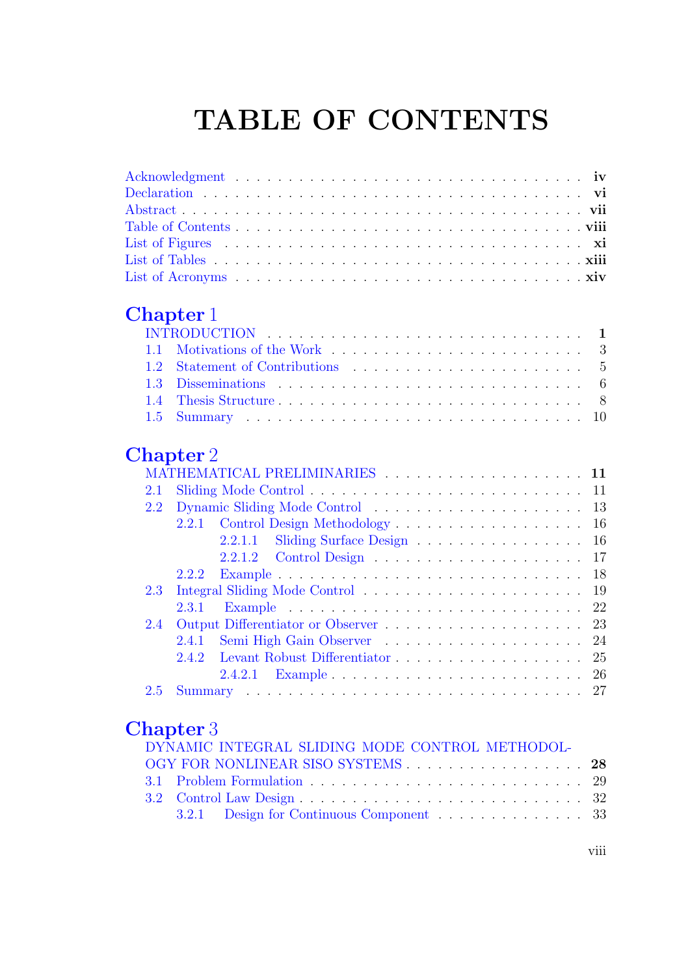# TABLE OF CONTENTS

#### Chapter 1

### Chapter 2

|         | MATHEMATICAL PRELIMINARIES 11       |
|---------|-------------------------------------|
|         |                                     |
| 2.2     |                                     |
|         | 2.2.1 Control Design Methodology 16 |
|         | 2.2.1.1 Sliding Surface Design 16   |
|         |                                     |
|         |                                     |
| $2.3 -$ |                                     |
|         |                                     |
| 2.4     |                                     |
|         |                                     |
|         |                                     |
|         |                                     |
|         |                                     |

#### Chapter 3

| DYNAMIC INTEGRAL SLIDING MODE CONTROL METHODOL- |  |
|-------------------------------------------------|--|
| OGY FOR NONLINEAR SISO SYSTEMS 28               |  |
|                                                 |  |
|                                                 |  |
| 3.2.1 Design for Continuous Component 33        |  |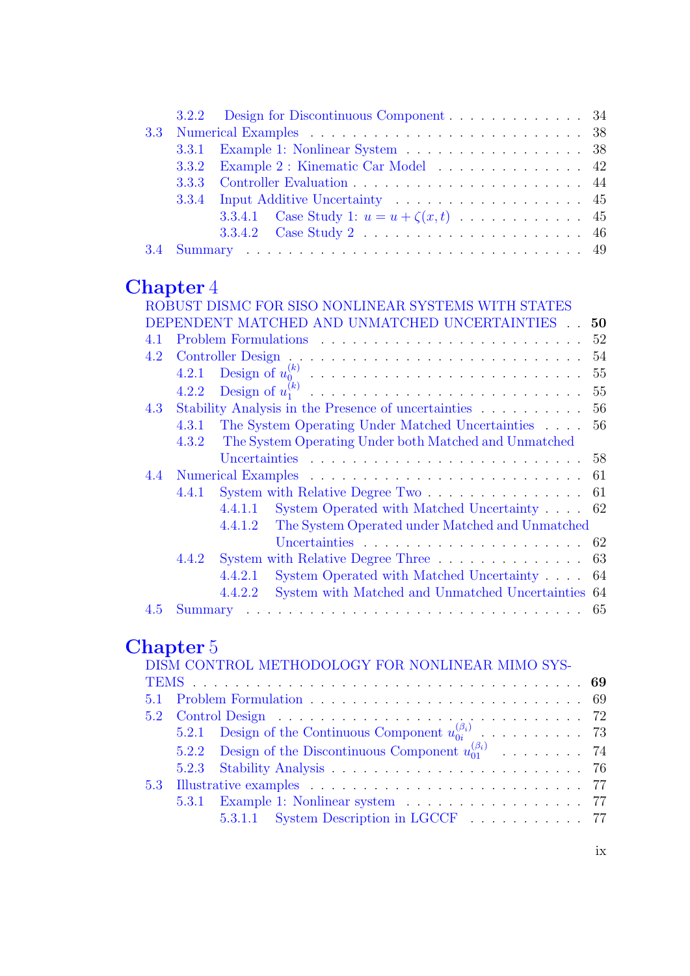|  | 3.3.1 Example 1: Nonlinear System 38          |
|--|-----------------------------------------------|
|  |                                               |
|  |                                               |
|  |                                               |
|  | 3.3.4.1 Case Study 1: $u = u + \zeta(x,t)$ 45 |
|  |                                               |
|  |                                               |

#### Chapter 4

|     |       | ROBUST DISMC FOR SISO NONLINEAR SYSTEMS WITH STATES                      |
|-----|-------|--------------------------------------------------------------------------|
|     |       | DEPENDENT MATCHED AND UNMATCHED UNCERTAINTIES<br>50                      |
| 4.1 |       | 52                                                                       |
| 4.2 |       | 54                                                                       |
|     | 4.2.1 | 55                                                                       |
|     | 4.2.2 | 55                                                                       |
| 4.3 |       | Stability Analysis in the Presence of uncertainties<br>56                |
|     | 4.3.1 | The System Operating Under Matched Uncertainties<br>56                   |
|     | 4.3.2 | The System Operating Under both Matched and Unmatched                    |
|     |       |                                                                          |
|     |       |                                                                          |
|     | 4.4.1 | System with Relative Degree Two $\dots \dots \dots \dots \dots \dots$ 61 |
|     |       | System Operated with Matched Uncertainty 62<br>4.4.1.1                   |
|     |       | The System Operated under Matched and Unmatched<br>4.4.1.2               |
|     |       |                                                                          |
|     | 4.4.2 | System with Relative Degree Three 63                                     |
|     |       | System Operated with Matched Uncertainty 64<br>4.4.2.1                   |
|     |       | System with Matched and Unmatched Uncertainties 64<br>4.4.2.2            |
| 4.5 |       |                                                                          |

## Chapter 5

|  | DISM CONTROL METHODOLOGY FOR NONLINEAR MIMO SYS-                    |  |
|--|---------------------------------------------------------------------|--|
|  |                                                                     |  |
|  |                                                                     |  |
|  |                                                                     |  |
|  |                                                                     |  |
|  | 5.2.2 Design of the Discontinuous Component $u_{01}^{(\beta_i)}$ 74 |  |
|  |                                                                     |  |
|  |                                                                     |  |
|  |                                                                     |  |
|  | 5.3.1.1 System Description in LGCCF 77                              |  |